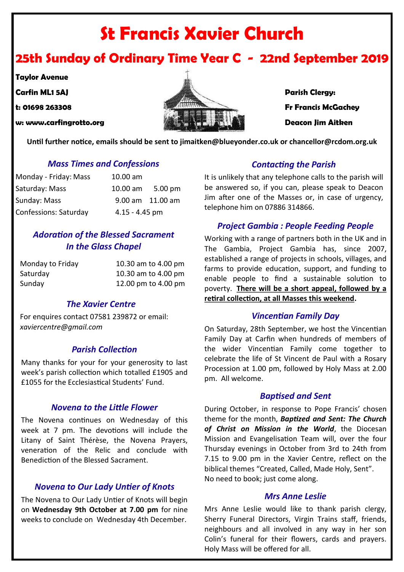# **St Francis Xavier Church**

# **25th Sunday of Ordinary Time Year C - 22nd September 2019**

**Taylor Avenue**

- 
- 
- 



**Until further notice, emails should be sent to jimaitken@blueyonder.co.uk or chancellor@rcdom.org.uk**

#### *Mass Times and Confessions*

| Monday - Friday: Mass | 10.00 am         |                  |
|-----------------------|------------------|------------------|
| Saturday: Mass        | $10.00$ am       | 5.00 pm          |
| Sunday: Mass          |                  | 9.00 am 11.00 am |
| Confessions: Saturday | $4.15 - 4.45$ pm |                  |

## *Adoration of the Blessed Sacrament In the Glass Chapel*

| Monday to Friday | 10.30 am to 4.00 pm |
|------------------|---------------------|
| Saturday         | 10.30 am to 4.00 pm |
| Sunday           | 12.00 pm to 4.00 pm |

#### *The Xavier Centre*

For enquires contact 07581 239872 or email: *xaviercentre@gmail.com*

#### *Parish Collection*

Many thanks for your for your generosity to last week's parish collection which totalled £1905 and £1055 for the Ecclesiastical Students' Fund.

#### *Novena to the Little Flower*

The Novena continues on Wednesday of this week at 7 pm. The devotions will include the Litany of Saint Thérèse, the Novena Prayers, veneration of the Relic and conclude with Benediction of the Blessed Sacrament.

#### *Novena to Our Lady Untier of Knots*

The Novena to Our Lady Untier of Knots will begin on **Wednesday 9th October at 7.00 pm** for nine weeks to conclude on Wednesday 4th December.

#### *Contacting the Parish*

It is unlikely that any telephone calls to the parish will be answered so, if you can, please speak to Deacon Jim after one of the Masses or, in case of urgency, telephone him on 07886 314866.

#### *Project Gambia : People Feeding People*

Working with a range of partners both in the UK and in The Gambia, Project Gambia has, since 2007, established a range of projects in schools, villages, and farms to provide education, support, and funding to enable people to find a sustainable solution to poverty. **There will be a short appeal, followed by a retiral collection, at all Masses this weekend.**

#### *Vincentian Family Day*

On Saturday, 28th September, we host the Vincentian Family Day at Carfin when hundreds of members of the wider Vincentian Family come together to celebrate the life of St Vincent de Paul with a Rosary Procession at 1.00 pm, followed by Holy Mass at 2.00 pm. All welcome.

#### *Baptised and Sent*

During October, in response to Pope Francis' chosen theme for the month, *Baptized and Sent: The Church of Christ on Mission in the World*, the Diocesan Mission and Evangelisation Team will, over the four Thursday evenings in October from 3rd to 24th from 7.15 to 9.00 pm in the Xavier Centre, reflect on the biblical themes "Created, Called, Made Holy, Sent". No need to book; just come along.

#### *Mrs Anne Leslie*

Mrs Anne Leslie would like to thank parish clergy, Sherry Funeral Directors, Virgin Trains staff, friends, neighbours and all involved in any way in her son Colin's funeral for their flowers, cards and prayers. Holy Mass will be offered for all.